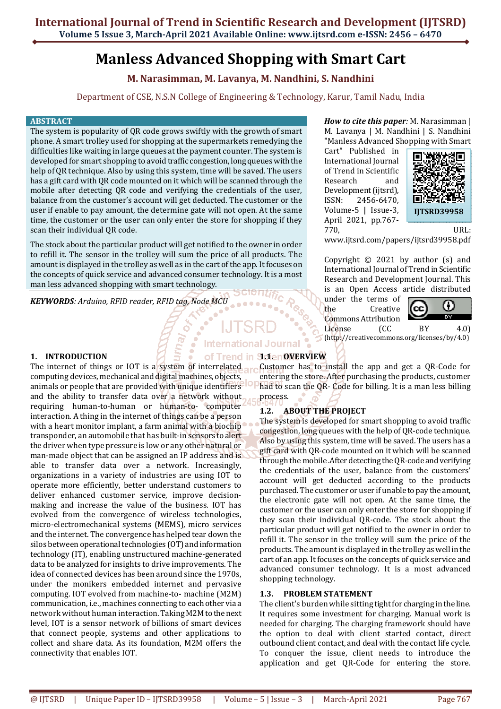# **Manless Advanced Shopping with Smart Cart**

**M. Narasimman, M. Lavanya, M. Nandhini, S. Nandhini**

Department of CSE, N.S.N College of Engineering & Technology, Karur, Tamil Nadu, India

#### **ABSTRACT**

The system is popularity of QR code grows swiftly with the growth of smart phone. A smart trolley used for shopping at the supermarkets remedying the difficulties like waiting in large queues at the payment counter. The system is developed for smart shopping to avoid traffic congestion, long queues with the help of QR technique. Also by using this system, time will be saved. The users has a gift card with QR code mounted on it which will be scanned through the mobile after detecting QR code and verifying the credentials of the user, balance from the customer's account will get deducted. The customer or the user if enable to pay amount, the determine gate will not open. At the same time, the customer or the user can only enter the store for shopping if they scan their individual QR code.

The stock about the particular product will get notified to the owner in order to refill it. The sensor in the trolley will sum the price of all products. The amount is displayed in the trolley as well as in the cart of the app. It focuses on the concepts of quick service and advanced consumer technology. It is a most man less advanced shopping with smart technology.

*KEYWORDS: Arduino, RFID reader, RFID tag, Node MCU*  $10000$ 

#### *How to cite this paper:* M. Narasimman | M. Lavanya | M. Nandhini | S. Nandhini "Manless Advanced Shopping with Smart

Cart" Published in International Journal of Trend in Scientific Research and Development (ijtsrd), ISSN: 2456-6470, Volume-5 | Issue-3, April 2021, pp.767- 770, URL:



www.ijtsrd.com/papers/ijtsrd39958.pdf

Copyright  $\odot$  2021 by author (s) and International Journal of Trend in Scientific Research and Development Journal. This is an Open Access article distributed

under the terms of the Creative Commons Attribution



License (CC BY 4.0) (http://creativecommons.org/licenses/by/4.0)

## **International Journal**

**0.1 Trend in ScienOVERVIEW** 

**1. INTRODUCTION** 

computing devices, mechanical and digital machines, objects, animals or people that are provided with unique identifiers and the ability to transfer data over a network without requiring human-to-human or human-to- computer interaction. A thing in the internet of things can be a person with a heart monitor implant, a farm animal with a biochip transponder, an automobile that has built-in sensors to alert the driver when type pressure is low or any other natural or man-made object that can be assigned an IP address and is able to transfer data over a network. Increasingly, organizations in a variety of industries are using IOT to operate more efficiently, better understand customers to deliver enhanced customer service, improve decisionmaking and increase the value of the business. IOT has evolved from the convergence of wireless technologies, micro-electromechanical systems (MEMS), micro services and the internet. The convergence has helped tear down the silos between operational technologies (OT) and information technology (IT), enabling unstructured machine-generated data to be analyzed for insights to drive improvements. The idea of connected devices has been around since the 1970s, under the monikers embedded internet and pervasive computing. IOT evolved from machine-to- machine (M2M) communication, i.e., machines connecting to each other via a network without human interaction. Taking M2M to the next level, IOT is a sensor network of billions of smart devices that connect people, systems and other applications to collect and share data. As its foundation, M2M offers the connectivity that enables IOT.

The internet of things or IOT is a system of interrelated or Customer has to install the app and get a QR-Code for entering the store. After purchasing the products, customer had to scan the QR- Code for billing. It is a man less billing process.

## **1.2. ABOUT THE PROJECT**

The system is developed for smart shopping to avoid traffic congestion, long queues with the help of QR-code technique. Also by using this system, time will be saved. The users has a gift card with QR-code mounted on it which will be scanned through the mobile .After detecting the QR-code and verifying the credentials of the user, balance from the customers' account will get deducted according to the products purchased. The customer or user if unable to pay the amount, the electronic gate will not open. At the same time, the customer or the user can only enter the store for shopping if they scan their individual QR-code. The stock about the particular product will get notified to the owner in order to refill it. The sensor in the trolley will sum the price of the products. The amount is displayed in the trolley as well in the cart of an app. It focuses on the concepts of quick service and advanced consumer technology. It is a most advanced shopping technology.

## **1.3. PROBLEM STATEMENT**

The client's burden while sitting tight for charging in the line. It requires some investment for charging. Manual work is needed for charging. The charging framework should have the option to deal with client started contact, direct outbound client contact, and deal with the contact life cycle. To conquer the issue, client needs to introduce the application and get QR-Code for entering the store.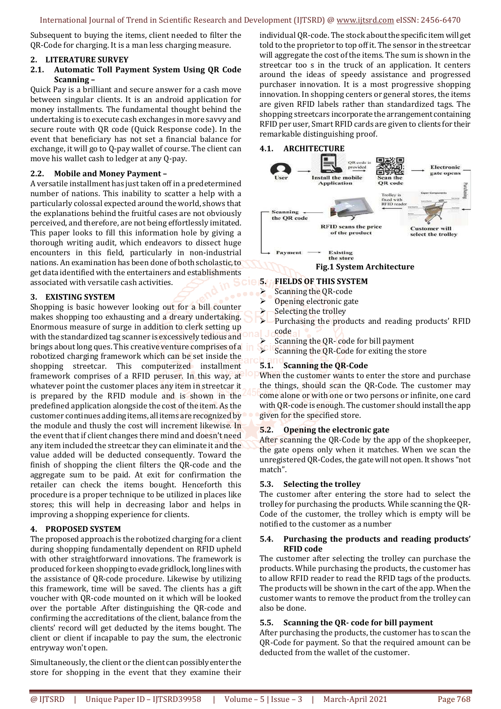Subsequent to buying the items, client needed to filter the QR-Code for charging. It is a man less charging measure.

#### **2. LITERATURE SURVEY**

#### **2.1. Automatic Toll Payment System Using QR Code Scanning –**

Quick Pay is a brilliant and secure answer for a cash move between singular clients. It is an android application for money installments. The fundamental thought behind the undertaking is to execute cash exchanges in more savvy and secure route with QR code (Quick Response code). In the event that beneficiary has not set a financial balance for exchange, it will go to Q-pay wallet of course. The client can move his wallet cash to ledger at any Q-pay.

#### **2.2. Mobile and Money Payment –**

A versatile installment has just taken off in a predetermined number of nations. This inability to scatter a help with a particularly colossal expected around the world, shows that the explanations behind the fruitful cases are not obviously perceived, and therefore, are not being effortlessly imitated. This paper looks to fill this information hole by giving a thorough writing audit, which endeavors to dissect huge encounters in this field, particularly in non-industrial nations. An examination has been done of both scholastic, to get data identified with the entertainers and establishments associated with versatile cash activities.

#### **3. EXISTING SYSTEM**

Shopping is basic however looking out for a bill counter makes shopping too exhausting and a dreary undertaking. Enormous measure of surge in addition to clerk setting up with the standardized tag scanner is excessively tedious and brings about long ques. This creative venture comprises of a robotized charging framework which can be set inside the shopping streetcar. This computerized installment framework comprises of a RFID peruser. In this way, at whatever point the customer places any item in streetcar it is prepared by the RFID module and is shown in the predefined application alongside the cost of the item. As the customer continues adding items, all items are recognized by the module and thusly the cost will increment likewise. In the event that if client changes there mind and doesn't need any item included the streetcar they can eliminate it and the value added will be deducted consequently. Toward the finish of shopping the client filters the QR-code and the aggregate sum to be paid. At exit for confirmation the retailer can check the items bought. Henceforth this procedure is a proper technique to be utilized in places like stores; this will help in decreasing labor and helps in improving a shopping experience for clients.

#### **4. PROPOSED SYSTEM**

The proposed approach is the robotized charging for a client during shopping fundamentally dependent on RFID upheld with other straightforward innovations. The framework is produced for keen shopping to evade gridlock, long lines with the assistance of QR-code procedure. Likewise by utilizing this framework, time will be saved. The clients has a gift voucher with QR-code mounted on it which will be looked over the portable .After distinguishing the QR-code and confirming the accreditations of the client, balance from the clients' record will get deducted by the items bought. The client or client if incapable to pay the sum, the electronic entryway won't open.

Simultaneously, the client or the client can possibly enter the store for shopping in the event that they examine their

individual QR-code. The stock about the specific item will get told to the proprietor to top off it. The sensor in the streetcar will aggregate the cost of the items. The sum is shown in the streetcar too s in the truck of an application. It centers around the ideas of speedy assistance and progressed purchaser innovation. It is a most progressive shopping innovation. In shopping centers or general stores, the items are given RFID labels rather than standardized tags. The shopping streetcars incorporate the arrangement containing RFID per user, Smart RFID cards are given to clients for their remarkable distinguishing proof.

#### **4.1. ARCHITECTURE**



### **5. FIELDS OF THIS SYSTEM**

- $\triangleright$  Scanning the QR-code
- $\triangleright$  Opening electronic gate
- Selecting the trolley
- Purchasing the products and reading products' RFID code
- $\triangleright$  Scanning the QR- code for bill payment<br> $\triangleright$  Scanning the QR-Code for exiting the ste
- Scanning the QR-Code for exiting the store

## **5.1. Scanning the QR-Code**

When the customer wants to enter the store and purchase the things, should scan the QR-Code. The customer may come alone or with one or two persons or infinite, one card with QR-code is enough. The customer should install the app given for the specified store.

#### **5.2. Opening the electronic gate**

After scanning the QR-Code by the app of the shopkeeper, the gate opens only when it matches. When we scan the unregistered QR-Codes, the gate will not open. It shows "not match".

#### **5.3. Selecting the trolley**

The customer after entering the store had to select the trolley for purchasing the products. While scanning the QR-Code of the customer, the trolley which is empty will be notified to the customer as a number

#### **5.4. Purchasing the products and reading products' RFID code**

The customer after selecting the trolley can purchase the products. While purchasing the products, the customer has to allow RFID reader to read the RFID tags of the products. The products will be shown in the cart of the app. When the customer wants to remove the product from the trolley can also be done.

#### **5.5. Scanning the QR- code for bill payment**

After purchasing the products, the customer has to scan the QR-Code for payment. So that the required amount can be deducted from the wallet of the customer.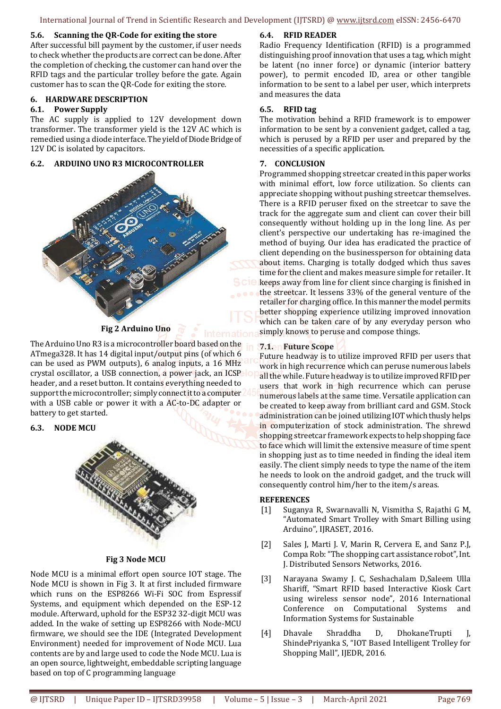International Journal of Trend in Scientific Research and Development (IJTSRD) @ www.ijtsrd.com eISSN: 2456-6470

#### **5.6. Scanning the QR-Code for exiting the store**

After successful bill payment by the customer, if user needs to check whether the products are correct can be done. After the completion of checking, the customer can hand over the RFID tags and the particular trolley before the gate. Again customer has to scan the QR-Code for exiting the store.

#### **6. HARDWARE DESCRIPTION**

#### **6.1. Power Supply**

The AC supply is applied to 12V development down transformer. The transformer yield is the 12V AC which is remedied using a diode interface. The yield of Diode Bridge of 12V DC is isolated by capacitors.

#### **6.2. ARDUINO UNO R3 MICROCONTROLLER**



#### **Fig 2 Arduino Uno**

The Arduino Uno R3 is a microcontroller board based on the ATmega328. It has 14 digital input/output pins (of which 6 can be used as PWM outputs), 6 analog inputs, a 16 MHz crystal oscillator, a USB connection, a power jack, an ICSP header, and a reset button. It contains everything needed to support the microcontroller; simply connect it to a computer with a USB cable or power it with a AC-to-DC adapter or battery to get started.

#### **6.3. NODE MCU**



#### **Fig 3 Node MCU**

Node MCU is a minimal effort open source IOT stage. The Node MCU is shown in Fig 3. It at first included firmware which runs on the ESP8266 Wi-Fi SOC from Espressif Systems, and equipment which depended on the ESP-12 module. Afterward, uphold for the ESP32 32-digit MCU was added. In the wake of setting up ESP8266 with Node-MCU firmware, we should see the IDE (Integrated Development Environment) needed for improvement of Node MCU. Lua contents are by and large used to code the Node MCU. Lua is an open source, lightweight, embeddable scripting language based on top of C programming language

#### **6.4. RFID READER**

Radio Frequency Identification (RFID) is a programmed distinguishing proof innovation that uses a tag, which might be latent (no inner force) or dynamic (interior battery power), to permit encoded ID, area or other tangible information to be sent to a label per user, which interprets and measures the data

#### **6.5. RFID tag**

The motivation behind a RFID framework is to empower information to be sent by a convenient gadget, called a tag, which is perused by a RFID per user and prepared by the necessities of a specific application.

#### **7. CONCLUSION**

Programmed shopping streetcar created in this paper works with minimal effort, low force utilization. So clients can appreciate shopping without pushing streetcar themselves. There is a RFID peruser fixed on the streetcar to save the track for the aggregate sum and client can cover their bill consequently without holding up in the long line. As per client's perspective our undertaking has re-imagined the method of buying. Our idea has eradicated the practice of client depending on the businessperson for obtaining data about items. Charging is totally dodged which thus saves time for the client and makes measure simple for retailer. It keeps away from line for client since charging is finished in the streetcar. It lessens 33% of the general venture of the retailer for charging office. In this manner the model permits better shopping experience utilizing improved innovation which can be taken care of by any everyday person who simply knows to peruse and compose things.

#### **7.1. Future Scope**

Future headway is to utilize improved RFID per users that work in high recurrence which can peruse numerous labels all the while. Future headway is to utilize improved RFID per users that work in high recurrence which can peruse numerous labels at the same time. Versatile application can be created to keep away from brilliant card and GSM. Stock administration can be joined utilizing IOT which thusly helps in computerization of stock administration. The shrewd shopping streetcar framework expects to help shopping face to face which will limit the extensive measure of time spent in shopping just as to time needed in finding the ideal item easily. The client simply needs to type the name of the item he needs to look on the android gadget, and the truck will consequently control him/her to the item/s areas.

#### **REFERENCES**

- [1] Suganya R, Swarnavalli N, Vismitha S, Rajathi G M, "Automated Smart Trolley with Smart Billing using Arduino", IJRASET, 2016.
- [2] Sales J, Marti J. V, Marin R, Cervera E, and Sanz P.J, Compa Rob: "The shopping cart assistance robot", Int. J. Distributed Sensors Networks, 2016.
- [3] Narayana Swamy J. C, Seshachalam D,Saleem Ulla Shariff, "Smart RFID based Interactive Kiosk Cart using wireless sensor node", 2016 International Conference on Computational Systems and Information Systems for Sustainable
- [4] Dhavale Shraddha D, DhokaneTrupti J, ShindePriyanka S, "IOT Based Intelligent Trolley for Shopping Mall", IJEDR, 2016.